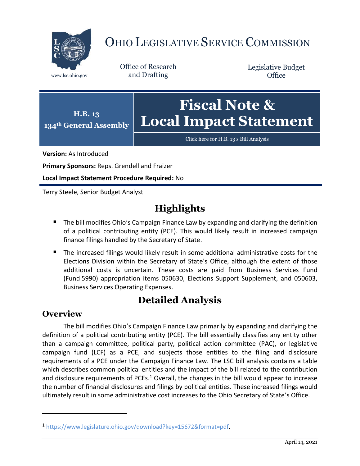

# OHIO LEGISLATIVE SERVICE COMMISSION

Office of Research www.lsc.ohio.gov and Drafting

Legislative Budget **Office** 



[Click here for H.B. 13](https://www.legislature.ohio.gov/legislation/legislation-documents?id=GA134-HB-13)'s Bill Analysis

**Version:** As Introduced

**Primary Sponsors:** Reps. Grendell and Fraizer

**Local Impact Statement Procedure Required:** No

Terry Steele, Senior Budget Analyst

## **Highlights**

- **The bill modifies Ohio's Campaign Finance Law by expanding and clarifying the definition** of a political contributing entity (PCE). This would likely result in increased campaign finance filings handled by the Secretary of State.
- The increased filings would likely result in some additional administrative costs for the Elections Division within the Secretary of State's Office, although the extent of those additional costs is uncertain. These costs are paid from Business Services Fund (Fund 5990) appropriation items 050630, Elections Support Supplement, and 050603, Business Services Operating Expenses.

## **Detailed Analysis**

#### **Overview**

 $\overline{a}$ 

The bill modifies Ohio's Campaign Finance Law primarily by expanding and clarifying the definition of a political contributing entity (PCE). The bill essentially classifies any entity other than a campaign committee, political party, political action committee (PAC), or legislative campaign fund (LCF) as a PCE, and subjects those entities to the filing and disclosure requirements of a PCE under the Campaign Finance Law. The LSC bill analysis contains a table which describes common political entities and the impact of the bill related to the contribution and disclosure requirements of PCEs.<sup>1</sup> Overall, the changes in the bill would appear to increase the number of financial disclosures and filings by political entities. These increased filings would ultimately result in some administrative cost increases to the Ohio Secretary of State's Office.

<sup>1</sup> [https://www.legislature.ohio.gov/download?key=15672&format=pdf.](https://www.legislature.ohio.gov/download?key=15672&format=pdf)